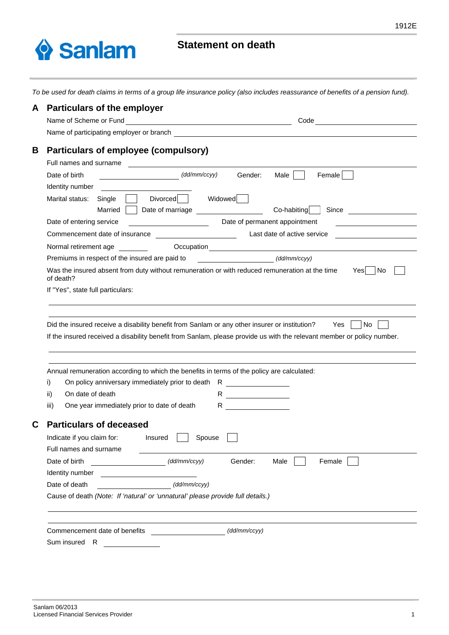

## **Statement on death**

*To be used for death claims in terms of a group life insurance policy (also includes reassurance of benefits of a pension fund).*

| A                                                        | <b>Particulars of the employer</b>                                                                                                                                                                                                   |  |  |  |
|----------------------------------------------------------|--------------------------------------------------------------------------------------------------------------------------------------------------------------------------------------------------------------------------------------|--|--|--|
|                                                          | Name of Scheme or Fund<br>Code <u>___________________</u><br><u> 1980 - Johann Barn, mars ann an t-Amhain Aonaich an t-Aonaich an t-Aonaich ann an t-Aonaich ann an t-Aonaich</u>                                                    |  |  |  |
|                                                          | Name of participating employer or branch example and the state of participating employer or branch                                                                                                                                   |  |  |  |
| В                                                        | Particulars of employee (compulsory)<br>Full names and surname                                                                                                                                                                       |  |  |  |
|                                                          | (dd/mm/ccyy)<br>Date of birth<br>Gender:<br>Male  <br>Female                                                                                                                                                                         |  |  |  |
|                                                          | Identity number                                                                                                                                                                                                                      |  |  |  |
|                                                          | Divorced Widowed<br>Marital status:<br>Single<br>Co-habiting<br>Married<br>Date of marriage <b>contains the set of marriage</b><br>Since                                                                                             |  |  |  |
|                                                          | Date of permanent appointment<br>Date of entering service<br><u> 1990 - Johann Barbara, martin a</u>                                                                                                                                 |  |  |  |
|                                                          | Last date of active service<br>Commencement date of insurance<br><u> 1980 - Johann Barbara, politik eta politik eta politik eta politik eta politik eta politik eta politik eta p</u> o                                              |  |  |  |
|                                                          | Occupation<br>Normal retirement age                                                                                                                                                                                                  |  |  |  |
|                                                          | Premiums in respect of the insured are paid to<br>(dd/mm/ccyy)<br><u> 1990 - John Stone, mars and de la partie de la partie de la partie de la partie de la partie de la partie de l</u>                                             |  |  |  |
|                                                          | Was the insured absent from duty without remuneration or with reduced remuneration at the time<br>Yes<br>No.<br>of death?                                                                                                            |  |  |  |
|                                                          | If "Yes", state full particulars:                                                                                                                                                                                                    |  |  |  |
|                                                          |                                                                                                                                                                                                                                      |  |  |  |
|                                                          |                                                                                                                                                                                                                                      |  |  |  |
|                                                          | Did the insured receive a disability benefit from Sanlam or any other insurer or institution? Yes  <br>No.<br>If the insured received a disability benefit from Sanlam, please provide us with the relevant member or policy number. |  |  |  |
|                                                          |                                                                                                                                                                                                                                      |  |  |  |
|                                                          | Annual remuneration according to which the benefits in terms of the policy are calculated:                                                                                                                                           |  |  |  |
| On policy anniversary immediately prior to death R<br>i) |                                                                                                                                                                                                                                      |  |  |  |
|                                                          | On date of death<br>ii)<br>R.<br><u> 1989 - Johann Barnett, fransk kongresu</u>                                                                                                                                                      |  |  |  |
|                                                          | One year immediately prior to date of death<br>iii)<br>R.                                                                                                                                                                            |  |  |  |
| С                                                        | <b>Particulars of deceased</b>                                                                                                                                                                                                       |  |  |  |
|                                                          |                                                                                                                                                                                                                                      |  |  |  |
|                                                          | Spouse<br>Indicate if you claim for:<br>Insured<br>Full names and surname                                                                                                                                                            |  |  |  |
|                                                          |                                                                                                                                                                                                                                      |  |  |  |
|                                                          | Date of birth<br>Gender:<br>$\overbrace{\hspace{2.5cm}}$ (dd/mm/ccyy)<br>Male<br>Female                                                                                                                                              |  |  |  |
|                                                          | (dd/mm/ccyy)<br>Date of death                                                                                                                                                                                                        |  |  |  |
|                                                          | Cause of death (Note: If 'natural' or 'unnatural' please provide full details.)                                                                                                                                                      |  |  |  |
|                                                          |                                                                                                                                                                                                                                      |  |  |  |
|                                                          |                                                                                                                                                                                                                                      |  |  |  |
|                                                          | Commencement date of benefits<br>(dd/mm/ccyy)                                                                                                                                                                                        |  |  |  |
| Sum insured R<br><u> 1989 - Jan Sterlingen (</u>         |                                                                                                                                                                                                                                      |  |  |  |
|                                                          |                                                                                                                                                                                                                                      |  |  |  |
|                                                          |                                                                                                                                                                                                                                      |  |  |  |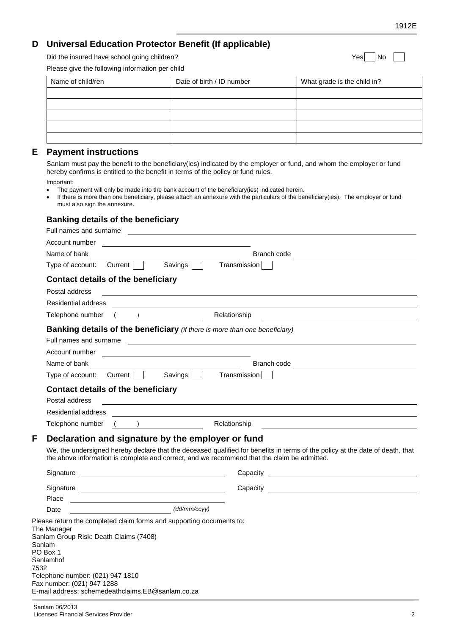### **D Universal Education Protector Benefit (If applicable)**

Did the insured have school going children? The state of the insured have school going children?

Please give the following information per child

| Name of child/ren | Date of birth / ID number | What grade is the child in? |
|-------------------|---------------------------|-----------------------------|
|                   |                           |                             |
|                   |                           |                             |
|                   |                           |                             |
|                   |                           |                             |
|                   |                           |                             |

#### **E Payment instructions**

 Sanlam must pay the benefit to the beneficiary(ies) indicated by the employer or fund, and whom the employer or fund hereby confirms is entitled to the benefit in terms of the policy or fund rules.

Important:

- The payment will only be made into the bank account of the beneficiary(ies) indicated herein.
- If there is more than one beneficiary, please attach an annexure with the particulars of the beneficiary(ies). The employer or fund must also sign the annexure.

#### **Banking details of the beneficiary**

|      | Full names and surname                                                                                                                                                                                                             |                                                                                                                       |  |  |
|------|------------------------------------------------------------------------------------------------------------------------------------------------------------------------------------------------------------------------------------|-----------------------------------------------------------------------------------------------------------------------|--|--|
|      |                                                                                                                                                                                                                                    |                                                                                                                       |  |  |
|      | Name of bank <b>with the contract of bank</b>                                                                                                                                                                                      |                                                                                                                       |  |  |
|      | Type of account: Current Savings<br>Transmission                                                                                                                                                                                   |                                                                                                                       |  |  |
|      | <b>Contact details of the beneficiary</b>                                                                                                                                                                                          |                                                                                                                       |  |  |
|      | Postal address                                                                                                                                                                                                                     |                                                                                                                       |  |  |
|      | Residential address                                                                                                                                                                                                                |                                                                                                                       |  |  |
|      | Telephone number ()<br>Relationship                                                                                                                                                                                                |                                                                                                                       |  |  |
|      | <b>Banking details of the beneficiary</b> (if there is more than one beneficiary)                                                                                                                                                  |                                                                                                                       |  |  |
|      | Full names and surname experience and the set of the set of the set of the set of the set of the set of the set of the set of the set of the set of the set of the set of the set of the set of the set of the set of the set      |                                                                                                                       |  |  |
|      |                                                                                                                                                                                                                                    |                                                                                                                       |  |  |
|      |                                                                                                                                                                                                                                    |                                                                                                                       |  |  |
|      | Type of account: Current   Savings   Transmission                                                                                                                                                                                  |                                                                                                                       |  |  |
|      | <b>Contact details of the beneficiary</b><br>Postal address<br><u> 1989 - Johann Barn, amerikan besteman besteman besteman besteman besteman besteman besteman besteman besteman</u>                                               |                                                                                                                       |  |  |
|      |                                                                                                                                                                                                                                    |                                                                                                                       |  |  |
|      | Telephone number ( ) Relationship                                                                                                                                                                                                  | <u> 1989 - Johann Harry Harry Harry Harry Harry Harry Harry Harry Harry Harry Harry Harry Harry Harry Harry Harry</u> |  |  |
| F    | Declaration and signature by the employer or fund                                                                                                                                                                                  |                                                                                                                       |  |  |
|      | We, the undersigned hereby declare that the deceased qualified for benefits in terms of the policy at the date of death, that<br>the above information is complete and correct, and we recommend that the claim be admitted.       |                                                                                                                       |  |  |
|      |                                                                                                                                                                                                                                    |                                                                                                                       |  |  |
|      |                                                                                                                                                                                                                                    |                                                                                                                       |  |  |
|      | Place<br><u> 1989 - Johann Barbara, martxa alemaniar arg</u>                                                                                                                                                                       |                                                                                                                       |  |  |
|      | $\overbrace{\hspace{2.5cm}}$ $(\text{dd/mm/ccyy})$<br>Date                                                                                                                                                                         |                                                                                                                       |  |  |
| 7532 | Please return the completed claim forms and supporting documents to:<br>The Manager<br>Sanlam Group Risk: Death Claims (7408)<br>Sanlam<br>PO Box 1<br>Sanlamhof<br>Telephone number: (021) 947 1810<br>Fax number: (021) 947 1288 |                                                                                                                       |  |  |
|      | E-mail address: schemedeathclaims.EB@sanlam.co.za                                                                                                                                                                                  |                                                                                                                       |  |  |